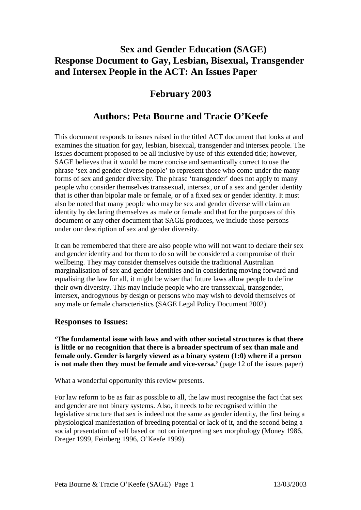# **Sex and Gender Education (SAGE) Response Document to Gay, Lesbian, Bisexual, Transgender and Intersex People in the ACT: An Issues Paper**

# **February 2003**

# **Authors: Peta Bourne and Tracie O'Keefe**

This document responds to issues raised in the titled ACT document that looks at and examines the situation for gay, lesbian, bisexual, transgender and intersex people. The issues document proposed to be all inclusive by use of this extended title; however, SAGE believes that it would be more concise and semantically correct to use the phrase 'sex and gender diverse people' to represent those who come under the many forms of sex and gender diversity. The phrase 'transgender' does not apply to many people who consider themselves transsexual, intersex, or of a sex and gender identity that is other than bipolar male or female, or of a fixed sex or gender identity. It must also be noted that many people who may be sex and gender diverse will claim an identity by declaring themselves as male or female and that for the purposes of this document or any other document that SAGE produces, we include those persons under our description of sex and gender diversity.

It can be remembered that there are also people who will not want to declare their sex and gender identity and for them to do so will be considered a compromise of their wellbeing. They may consider themselves outside the traditional Australian marginalisation of sex and gender identities and in considering moving forward and equalising the law for all, it might be wiser that future laws allow people to define their own diversity. This may include people who are transsexual, transgender, intersex, androgynous by design or persons who may wish to devoid themselves of any male or female characteristics (SAGE Legal Policy Document 2002).

## **Responses to Issues:**

**'The fundamental issue with laws and with other societal structures is that there is little or no recognition that there is a broader spectrum of sex than male and female only. Gender is largely viewed as a binary system (1:0) where if a person is not male then they must be female and vice-versa.'** (page 12 of the issues paper)

What a wonderful opportunity this review presents.

For law reform to be as fair as possible to all, the law must recognise the fact that sex and gender are not binary systems. Also, it needs to be recognised within the legislative structure that sex is indeed not the same as gender identity, the first being a physiological manifestation of breeding potential or lack of it, and the second being a social presentation of self based or not on interpreting sex morphology (Money 1986, Dreger 1999, Feinberg 1996, O'Keefe 1999).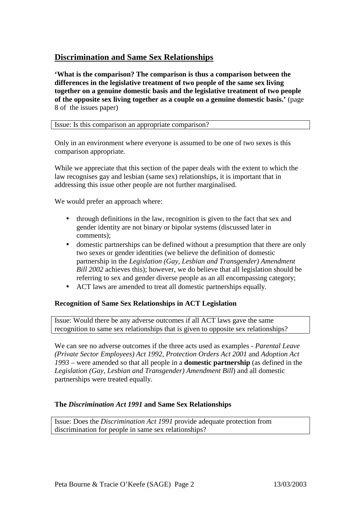## **Discrimination and Same Sex Relationships**

**'What is the comparison? The comparison is thus a comparison between the differences in the legislative treatment of two people of the same sex living together on a genuine domestic basis and the legislative treatment of two people of the opposite sex living together as a couple on a genuine domestic basis.'** (page 8 of the issues paper)

Issue: Is this comparison an appropriate comparison?

Only in an environment where everyone is assumed to be one of two sexes is this comparison appropriate.

While we appreciate that this section of the paper deals with the extent to which the law recognises gay and lesbian (same sex) relationships, it is important that in addressing this issue other people are not further marginalised.

We would prefer an approach where:

- through definitions in the law, recognition is given to the fact that sex and gender identity are not binary or bipolar systems (discussed later in comments);
- domestic partnerships can be defined without a presumption that there are only two sexes or gender identities (we believe the definition of domestic partnership in the *Legislation (Gay, Lesbian and Transgender) Amendment Bill 2002* achieves this); however, we do believe that all legislation should be referring to sex and gender diverse people as an all encompassing category;
- ACT laws are amended to treat all domestic partnerships equally.

### **Recognition of Same Sex Relationships in ACT Legislation**

Issue: Would there be any adverse outcomes if all ACT laws gave the same recognition to same sex relationships that is given to opposite sex relationships?

We can see no adverse outcomes if the three acts used as examples - *Parental Leave (Private Sector Employees) Act 1992*, *Protection Orders Act 2001* and *Adoption Act 1993* – were amended so that all people in a **domestic partnership** (as defined in the *Legislation (Gay, Lesbian and Transgender) Amendment Bill*) and all domestic partnerships were treated equally.

#### **The** *Discrimination Act 1991* **and Same Sex Relationships**

Issue: Does the *Discrimination Act 1991* provide adequate protection from discrimination for people in same sex relationships?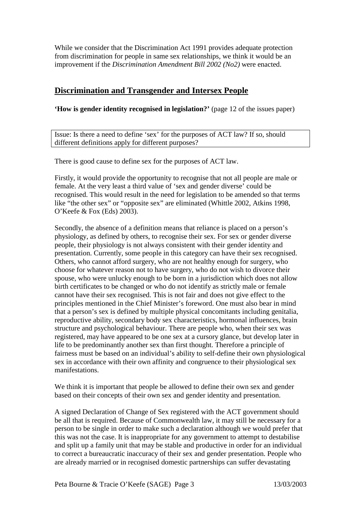While we consider that the Discrimination Act 1991 provides adequate protection from discrimination for people in same sex relationships, we think it would be an improvement if the *Discrimination Amendment Bill 2002 (No2)* were enacted.

## **Discrimination and Transgender and Intersex People**

**'How is gender identity recognised in legislation?'** (page 12 of the issues paper)

Issue: Is there a need to define 'sex' for the purposes of ACT law? If so, should different definitions apply for different purposes?

There is good cause to define sex for the purposes of ACT law.

Firstly, it would provide the opportunity to recognise that not all people are male or female. At the very least a third value of 'sex and gender diverse' could be recognised. This would result in the need for legislation to be amended so that terms like "the other sex" or "opposite sex" are eliminated (Whittle 2002, Atkins 1998, O'Keefe & Fox (Eds) 2003).

Secondly, the absence of a definition means that reliance is placed on a person's physiology, as defined by others, to recognise their sex. For sex or gender diverse people, their physiology is not always consistent with their gender identity and presentation. Currently, some people in this category can have their sex recognised. Others, who cannot afford surgery, who are not healthy enough for surgery, who choose for whatever reason not to have surgery, who do not wish to divorce their spouse, who were unlucky enough to be born in a jurisdiction which does not allow birth certificates to be changed or who do not identify as strictly male or female cannot have their sex recognised. This is not fair and does not give effect to the principles mentioned in the Chief Minister's foreword. One must also bear in mind that a person's sex is defined by multiple physical concomitants including genitalia, reproductive ability, secondary body sex characteristics, hormonal influences, brain structure and psychological behaviour. There are people who, when their sex was registered, may have appeared to be one sex at a cursory glance, but develop later in life to be predominantly another sex than first thought. Therefore a principle of fairness must be based on an individual's ability to self-define their own physiological sex in accordance with their own affinity and congruence to their physiological sex manifestations.

We think it is important that people be allowed to define their own sex and gender based on their concepts of their own sex and gender identity and presentation.

A signed Declaration of Change of Sex registered with the ACT government should be all that is required. Because of Commonwealth law, it may still be necessary for a person to be single in order to make such a declaration although we would prefer that this was not the case. It is inappropriate for any government to attempt to destabilise and split up a family unit that may be stable and productive in order for an individual to correct a bureaucratic inaccuracy of their sex and gender presentation. People who are already married or in recognised domestic partnerships can suffer devastating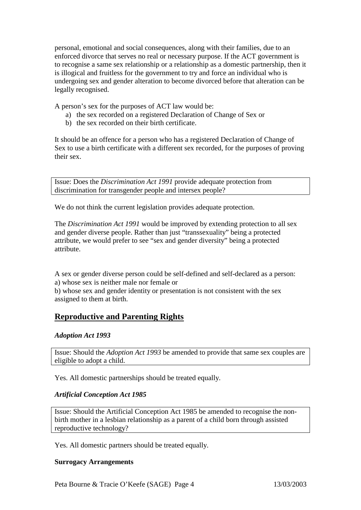personal, emotional and social consequences, along with their families, due to an enforced divorce that serves no real or necessary purpose. If the ACT government is to recognise a same sex relationship or a relationship as a domestic partnership, then it is illogical and fruitless for the government to try and force an individual who is undergoing sex and gender alteration to become divorced before that alteration can be legally recognised.

A person's sex for the purposes of ACT law would be:

- a) the sex recorded on a registered Declaration of Change of Sex or
- b) the sex recorded on their birth certificate.

It should be an offence for a person who has a registered Declaration of Change of Sex to use a birth certificate with a different sex recorded, for the purposes of proving their sex.

Issue: Does the *Discrimination Act 1991* provide adequate protection from discrimination for transgender people and intersex people?

We do not think the current legislation provides adequate protection.

The *Discrimination Act 1991* would be improved by extending protection to all sex and gender diverse people. Rather than just "transsexuality" being a protected attribute, we would prefer to see "sex and gender diversity" being a protected attribute.

A sex or gender diverse person could be self-defined and self-declared as a person: a) whose sex is neither male nor female or

b) whose sex and gender identity or presentation is not consistent with the sex assigned to them at birth.

## **Reproductive and Parenting Rights**

### *Adoption Act 1993*

Issue: Should the *Adoption Act 1993* be amended to provide that same sex couples are eligible to adopt a child.

Yes. All domestic partnerships should be treated equally.

#### *Artificial Conception Act 1985*

Issue: Should the Artificial Conception Act 1985 be amended to recognise the nonbirth mother in a lesbian relationship as a parent of a child born through assisted reproductive technology?

Yes. All domestic partners should be treated equally.

### **Surrogacy Arrangements**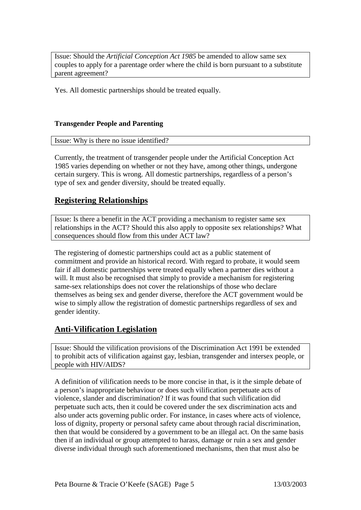Issue: Should the *Artificial Conception Act 1985* be amended to allow same sex couples to apply for a parentage order where the child is born pursuant to a substitute parent agreement?

Yes. All domestic partnerships should be treated equally.

### **Transgender People and Parenting**

Issue: Why is there no issue identified?

Currently, the treatment of transgender people under the Artificial Conception Act 1985 varies depending on whether or not they have, among other things, undergone certain surgery. This is wrong. All domestic partnerships, regardless of a person's type of sex and gender diversity, should be treated equally.

## **Registering Relationships**

Issue: Is there a benefit in the ACT providing a mechanism to register same sex relationships in the ACT? Should this also apply to opposite sex relationships? What consequences should flow from this under ACT law?

The registering of domestic partnerships could act as a public statement of commitment and provide an historical record. With regard to probate, it would seem fair if all domestic partnerships were treated equally when a partner dies without a will. It must also be recognised that simply to provide a mechanism for registering same-sex relationships does not cover the relationships of those who declare themselves as being sex and gender diverse, therefore the ACT government would be wise to simply allow the registration of domestic partnerships regardless of sex and gender identity.

## **Anti-Vilification Legislation**

Issue: Should the vilification provisions of the Discrimination Act 1991 be extended to prohibit acts of vilification against gay, lesbian, transgender and intersex people, or people with HIV/AIDS?

A definition of vilification needs to be more concise in that, is it the simple debate of a person's inappropriate behaviour or does such vilification perpetuate acts of violence, slander and discrimination? If it was found that such vilification did perpetuate such acts, then it could be covered under the sex discrimination acts and also under acts governing public order. For instance, in cases where acts of violence, loss of dignity, property or personal safety came about through racial discrimination, then that would be considered by a government to be an illegal act. On the same basis then if an individual or group attempted to harass, damage or ruin a sex and gender diverse individual through such aforementioned mechanisms, then that must also be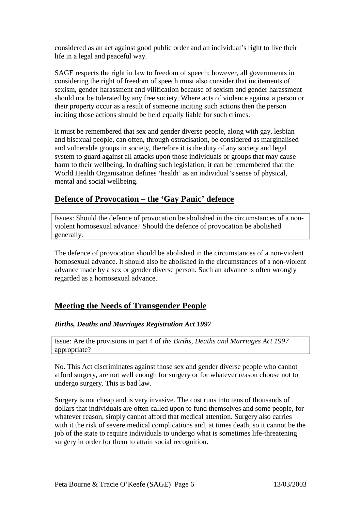considered as an act against good public order and an individual's right to live their life in a legal and peaceful way.

SAGE respects the right in law to freedom of speech; however, all governments in considering the right of freedom of speech must also consider that incitements of sexism, gender harassment and vilification because of sexism and gender harassment should not be tolerated by any free society. Where acts of violence against a person or their property occur as a result of someone inciting such actions then the person inciting those actions should be held equally liable for such crimes.

It must be remembered that sex and gender diverse people, along with gay, lesbian and bisexual people, can often, through ostracisation, be considered as marginalised and vulnerable groups in society, therefore it is the duty of any society and legal system to guard against all attacks upon those individuals or groups that may cause harm to their wellbeing. In drafting such legislation, it can be remembered that the World Health Organisation defines 'health' as an individual's sense of physical, mental and social wellbeing.

## **Defence of Provocation – the 'Gay Panic' defence**

Issues: Should the defence of provocation be abolished in the circumstances of a nonviolent homosexual advance? Should the defence of provocation be abolished generally.

The defence of provocation should be abolished in the circumstances of a non-violent homosexual advance. It should also be abolished in the circumstances of a non-violent advance made by a sex or gender diverse person. Such an advance is often wrongly regarded as a homosexual advance.

## **Meeting the Needs of Transgender People**

### *Births, Deaths and Marriages Registration Act 1997*

Issue: Are the provisions in part 4 of *the Births, Deaths and Marriages Act 1997* appropriate?

No. This Act discriminates against those sex and gender diverse people who cannot afford surgery, are not well enough for surgery or for whatever reason choose not to undergo surgery. This is bad law.

Surgery is not cheap and is very invasive. The cost runs into tens of thousands of dollars that individuals are often called upon to fund themselves and some people, for whatever reason, simply cannot afford that medical attention. Surgery also carries with it the risk of severe medical complications and, at times death, so it cannot be the job of the state to require individuals to undergo what is sometimes life-threatening surgery in order for them to attain social recognition.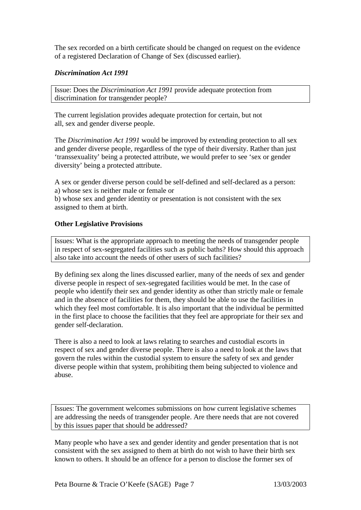The sex recorded on a birth certificate should be changed on request on the evidence of a registered Declaration of Change of Sex (discussed earlier).

### *Discrimination Act 1991*

Issue: Does the *Discrimination Act 1991* provide adequate protection from discrimination for transgender people?

The current legislation provides adequate protection for certain, but not all, sex and gender diverse people.

The *Discrimination Act 1991* would be improved by extending protection to all sex and gender diverse people, regardless of the type of their diversity. Rather than just 'transsexuality' being a protected attribute, we would prefer to see 'sex or gender diversity' being a protected attribute.

A sex or gender diverse person could be self-defined and self-declared as a person: a) whose sex is neither male or female or

b) whose sex and gender identity or presentation is not consistent with the sex assigned to them at birth.

### **Other Legislative Provisions**

Issues: What is the appropriate approach to meeting the needs of transgender people in respect of sex-segregated facilities such as public baths? How should this approach also take into account the needs of other users of such facilities?

By defining sex along the lines discussed earlier, many of the needs of sex and gender diverse people in respect of sex-segregated facilities would be met. In the case of people who identify their sex and gender identity as other than strictly male or female and in the absence of facilities for them, they should be able to use the facilities in which they feel most comfortable. It is also important that the individual be permitted in the first place to choose the facilities that they feel are appropriate for their sex and gender self-declaration.

There is also a need to look at laws relating to searches and custodial escorts in respect of sex and gender diverse people. There is also a need to look at the laws that govern the rules within the custodial system to ensure the safety of sex and gender diverse people within that system, prohibiting them being subjected to violence and abuse.

Issues: The government welcomes submissions on how current legislative schemes are addressing the needs of transgender people. Are there needs that are not covered by this issues paper that should be addressed?

Many people who have a sex and gender identity and gender presentation that is not consistent with the sex assigned to them at birth do not wish to have their birth sex known to others. It should be an offence for a person to disclose the former sex of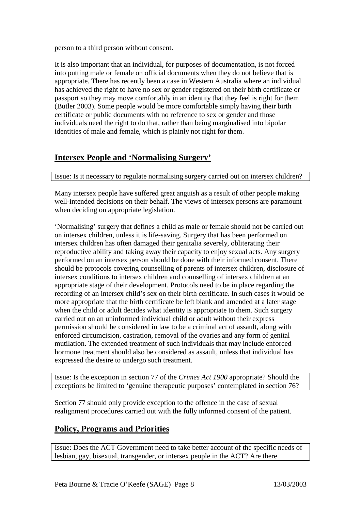person to a third person without consent.

It is also important that an individual, for purposes of documentation, is not forced into putting male or female on official documents when they do not believe that is appropriate. There has recently been a case in Western Australia where an individual has achieved the right to have no sex or gender registered on their birth certificate or passport so they may move comfortably in an identity that they feel is right for them (Butler 2003). Some people would be more comfortable simply having their birth certificate or public documents with no reference to sex or gender and those individuals need the right to do that, rather than being marginalised into bipolar identities of male and female, which is plainly not right for them.

## **Intersex People and 'Normalising Surgery'**

Issue: Is it necessary to regulate normalising surgery carried out on intersex children?

Many intersex people have suffered great anguish as a result of other people making well-intended decisions on their behalf. The views of intersex persons are paramount when deciding on appropriate legislation.

'Normalising' surgery that defines a child as male or female should not be carried out on intersex children, unless it is life-saving. Surgery that has been performed on intersex children has often damaged their genitalia severely, obliterating their reproductive ability and taking away their capacity to enjoy sexual acts. Any surgery performed on an intersex person should be done with their informed consent. There should be protocols covering counselling of parents of intersex children, disclosure of intersex conditions to intersex children and counselling of intersex children at an appropriate stage of their development. Protocols need to be in place regarding the recording of an intersex child's sex on their birth certificate. In such cases it would be more appropriate that the birth certificate be left blank and amended at a later stage when the child or adult decides what identity is appropriate to them. Such surgery carried out on an uninformed individual child or adult without their express permission should be considered in law to be a criminal act of assault, along with enforced circumcision, castration, removal of the ovaries and any form of genital mutilation. The extended treatment of such individuals that may include enforced hormone treatment should also be considered as assault, unless that individual has expressed the desire to undergo such treatment.

Issue: Is the exception in section 77 of the *Crimes Act 1900* appropriate? Should the exceptions be limited to 'genuine therapeutic purposes' contemplated in section 76?

Section 77 should only provide exception to the offence in the case of sexual realignment procedures carried out with the fully informed consent of the patient.

## **Policy, Programs and Priorities**

Issue: Does the ACT Government need to take better account of the specific needs of lesbian, gay, bisexual, transgender, or intersex people in the ACT? Are there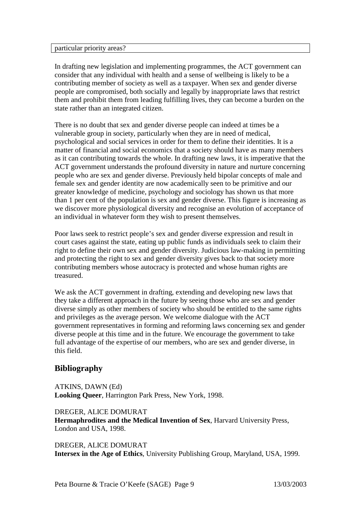#### particular priority areas?

In drafting new legislation and implementing programmes, the ACT government can consider that any individual with health and a sense of wellbeing is likely to be a contributing member of society as well as a taxpayer. When sex and gender diverse people are compromised, both socially and legally by inappropriate laws that restrict them and prohibit them from leading fulfilling lives, they can become a burden on the state rather than an integrated citizen.

There is no doubt that sex and gender diverse people can indeed at times be a vulnerable group in society, particularly when they are in need of medical, psychological and social services in order for them to define their identities. It is a matter of financial and social economics that a society should have as many members as it can contributing towards the whole. In drafting new laws, it is imperative that the ACT government understands the profound diversity in nature and nurture concerning people who are sex and gender diverse. Previously held bipolar concepts of male and female sex and gender identity are now academically seen to be primitive and our greater knowledge of medicine, psychology and sociology has shown us that more than 1 per cent of the population is sex and gender diverse. This figure is increasing as we discover more physiological diversity and recognise an evolution of acceptance of an individual in whatever form they wish to present themselves.

Poor laws seek to restrict people's sex and gender diverse expression and result in court cases against the state, eating up public funds as individuals seek to claim their right to define their own sex and gender diversity. Judicious law-making in permitting and protecting the right to sex and gender diversity gives back to that society more contributing members whose autocracy is protected and whose human rights are treasured.

We ask the ACT government in drafting, extending and developing new laws that they take a different approach in the future by seeing those who are sex and gender diverse simply as other members of society who should be entitled to the same rights and privileges as the average person. We welcome dialogue with the ACT government representatives in forming and reforming laws concerning sex and gender diverse people at this time and in the future. We encourage the government to take full advantage of the expertise of our members, who are sex and gender diverse, in this field.

## **Bibliography**

ATKINS, DAWN (Ed) **Looking Queer**, Harrington Park Press, New York, 1998.

DREGER, ALICE DOMURAT **Hermaphrodites and the Medical Invention of Sex**, Harvard University Press, London and USA, 1998.

DREGER, ALICE DOMURAT **Intersex in the Age of Ethics**, University Publishing Group, Maryland, USA, 1999.